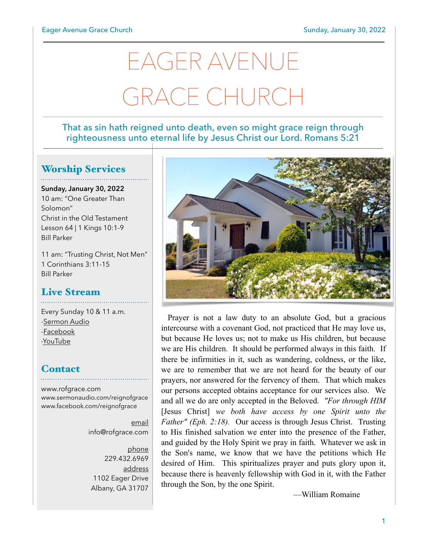# EAGER AVENUE GRACE CHURCH

### That as sin hath reigned unto death, even so might grace reign through righteousness unto eternal life by Jesus Christ our Lord. Romans 5:21

# Worship Services

**Sunday, January 30, 2022** 10 am: "One Greater Than Solomon" Christ in the Old Testament Lesson 64 | 1 Kings 10:1-9 Bill Parker

11 am: "Trusting Christ, Not Men" 1 Corinthians 3:11-15 Bill Parker

## Live Stream

Every Sunday 10 & 11 a.m. [-Sermon Audio](http://sermonaudio.com/reignofgrace) [-Facebook](http://facebook.com/eageravechurch) [-YouTube](http://youtube.com/channel/UCu_lTHCIUOK0cka9AjFV_5Q/live)

# **Contact**

[www.rofgrace.com](http://www.rofgrace.com) [www.sermonaudio.com/reignofgrace](http://www.sermonaudio.com/reignofgrace) [www.facebook.com/reignofgrace](http://www.facebook.com/reignofgrace)

> email [info@rofgrace.com](mailto:info@rofgrace.com?subject=)

phone 229.432.6969 address 1102 Eager Drive Albany, GA 31707



Prayer is not a law duty to an absolute God, but a gracious intercourse with a covenant God, not practiced that He may love us, but because He loves us; not to make us His children, but because we are His children. It should be performed always in this faith. If there be infirmities in it, such as wandering, coldness, or the like, we are to remember that we are not heard for the beauty of our prayers, nor answered for the fervency of them. That which makes our persons accepted obtains acceptance for our services also. We and all we do are only accepted in the Beloved. *"For through HIM* [Jesus Christ] *we both have access by one Spirit unto the Father" (Eph. 2:18).* Our access is through Jesus Christ. Trusting to His finished salvation we enter into the presence of the Father, and guided by the Holy Spirit we pray in faith. Whatever we ask in the Son's name, we know that we have the petitions which He desired of Him. This spiritualizes prayer and puts glory upon it, because there is heavenly fellowship with God in it, with the Father through the Son, by the one Spirit.

—William Romaine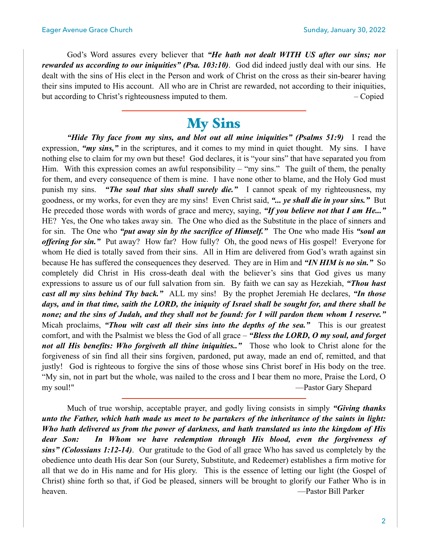God's Word assures every believer that *"He hath not dealt WITH US after our sins; nor rewarded us according to our iniquities" (Psa. 103:10)*. God did indeed justly deal with our sins. He dealt with the sins of His elect in the Person and work of Christ on the cross as their sin-bearer having their sins imputed to His account. All who are in Christ are rewarded, not according to their iniquities, but according to Christ's righteousness imputed to them.  $\qquad - \text{Copied}$ 

# **My Sins**

 *"Hide Thy face from my sins, and blot out all mine iniquities" (Psalms 51:9)* I read the expression, *"my sins*," in the scriptures, and it comes to my mind in quiet thought. My sins. I have nothing else to claim for my own but these! God declares, it is "your sins" that have separated you from Him. With this expression comes an awful responsibility – "my sins." The guilt of them, the penalty for them, and every consequence of them is mine. I have none other to blame, and the Holy God must punish my sins. *"The soul that sins shall surely die."* I cannot speak of my righteousness, my goodness, or my works, for even they are my sins! Even Christ said, *"... ye shall die in your sins."* But He preceded those words with words of grace and mercy, saying, *"If you believe not that I am He..."* HE? Yes, the One who takes away sin. The One who died as the Substitute in the place of sinners and for sin. The One who *"put away sin by the sacrifice of Himself."* The One who made His *"soul an offering for sin."* Put away? How far? How fully? Oh, the good news of His gospel! Everyone for whom He died is totally saved from their sins. All in Him are delivered from God's wrath against sin because He has suffered the consequences they deserved. They are in Him and *"IN HIM is no sin."* So completely did Christ in His cross-death deal with the believer's sins that God gives us many expressions to assure us of our full salvation from sin. By faith we can say as Hezekiah, *"Thou hast cast all my sins behind Thy back."* ALL my sins! By the prophet Jeremiah He declares, *"In those days, and in that time, saith the LORD, the iniquity of Israel shall be sought for, and there shall be none; and the sins of Judah, and they shall not be found: for I will pardon them whom I reserve."* Micah proclaims, *"Thou wilt cast all their sins into the depths of the sea."* This is our greatest comfort, and with the Psalmist we bless the God of all grace – *"Bless the LORD, O my soul, and forget not all His benefits: Who forgiveth all thine iniquities.."* Those who look to Christ alone for the forgiveness of sin find all their sins forgiven, pardoned, put away, made an end of, remitted, and that justly! God is righteous to forgive the sins of those whose sins Christ boref in His body on the tree. "My sin, not in part but the whole, was nailed to the cross and I bear them no more, Praise the Lord, O my soul!" —Pastor Gary Shepard

 Much of true worship, acceptable prayer, and godly living consists in simply *"Giving thanks unto the Father, which hath made us meet to be partakers of the inheritance of the saints in light: Who hath delivered us from the power of darkness, and hath translated us into the kingdom of His dear Son: In Whom we have redemption through His blood, even the forgiveness of sins" (Colossians 1:12-14)*. Our gratitude to the God of all grace Who has saved us completely by the obedience unto death His dear Son (our Surety, Substitute, and Redeemer) establishes a firm motive for all that we do in His name and for His glory. This is the essence of letting our light (the Gospel of Christ) shine forth so that, if God be pleased, sinners will be brought to glorify our Father Who is in heaven. —Pastor Bill Parker